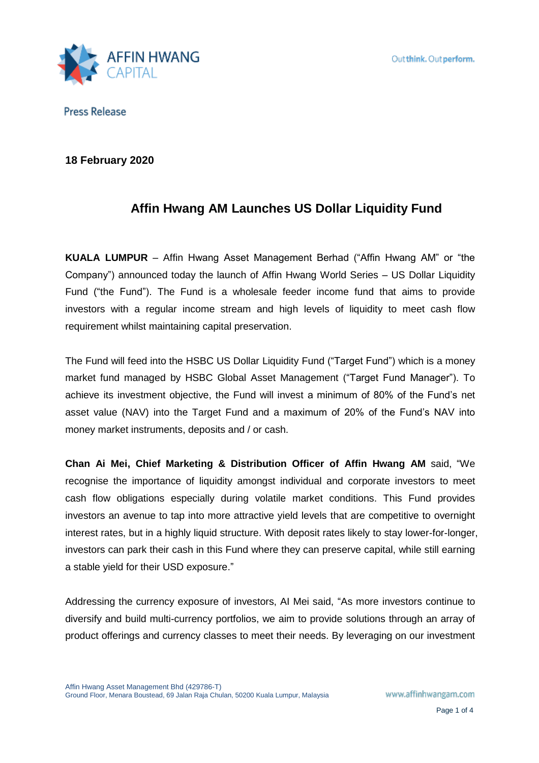

**18 February 2020**

# **Affin Hwang AM Launches US Dollar Liquidity Fund**

**KUALA LUMPUR** – Affin Hwang Asset Management Berhad ("Affin Hwang AM" or "the Company") announced today the launch of Affin Hwang World Series – US Dollar Liquidity Fund ("the Fund"). The Fund is a wholesale feeder income fund that aims to provide investors with a regular income stream and high levels of liquidity to meet cash flow requirement whilst maintaining capital preservation.

The Fund will feed into the HSBC US Dollar Liquidity Fund ("Target Fund") which is a money market fund managed by HSBC Global Asset Management ("Target Fund Manager"). To achieve its investment objective, the Fund will invest a minimum of 80% of the Fund's net asset value (NAV) into the Target Fund and a maximum of 20% of the Fund's NAV into money market instruments, deposits and / or cash.

**Chan Ai Mei, Chief Marketing & Distribution Officer of Affin Hwang AM** said, "We recognise the importance of liquidity amongst individual and corporate investors to meet cash flow obligations especially during volatile market conditions. This Fund provides investors an avenue to tap into more attractive yield levels that are competitive to overnight interest rates, but in a highly liquid structure. With deposit rates likely to stay lower-for-longer, investors can park their cash in this Fund where they can preserve capital, while still earning a stable yield for their USD exposure."

Addressing the currency exposure of investors, AI Mei said, "As more investors continue to diversify and build multi-currency portfolios, we aim to provide solutions through an array of product offerings and currency classes to meet their needs. By leveraging on our investment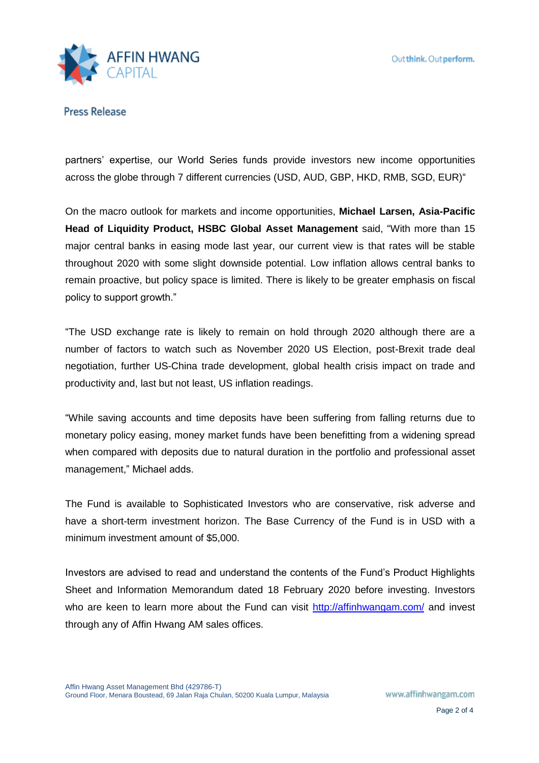

partners' expertise, our World Series funds provide investors new income opportunities across the globe through 7 different currencies (USD, AUD, GBP, HKD, RMB, SGD, EUR)"

On the macro outlook for markets and income opportunities, **Michael Larsen, Asia-Pacific Head of Liquidity Product, HSBC Global Asset Management** said, "With more than 15 major central banks in easing mode last year, our current view is that rates will be stable throughout 2020 with some slight downside potential. Low inflation allows central banks to remain proactive, but policy space is limited. There is likely to be greater emphasis on fiscal policy to support growth."

"The USD exchange rate is likely to remain on hold through 2020 although there are a number of factors to watch such as November 2020 US Election, post-Brexit trade deal negotiation, further US-China trade development, global health crisis impact on trade and productivity and, last but not least, US inflation readings.

"While saving accounts and time deposits have been suffering from falling returns due to monetary policy easing, money market funds have been benefitting from a widening spread when compared with deposits due to natural duration in the portfolio and professional asset management," Michael adds.

The Fund is available to Sophisticated Investors who are conservative, risk adverse and have a short-term investment horizon. The Base Currency of the Fund is in USD with a minimum investment amount of \$5,000.

Investors are advised to read and understand the contents of the Fund's Product Highlights Sheet and Information Memorandum dated 18 February 2020 before investing. Investors who are keen to learn more about the Fund can visit<http://affinhwangam.com/> and invest through any of Affin Hwang AM sales offices.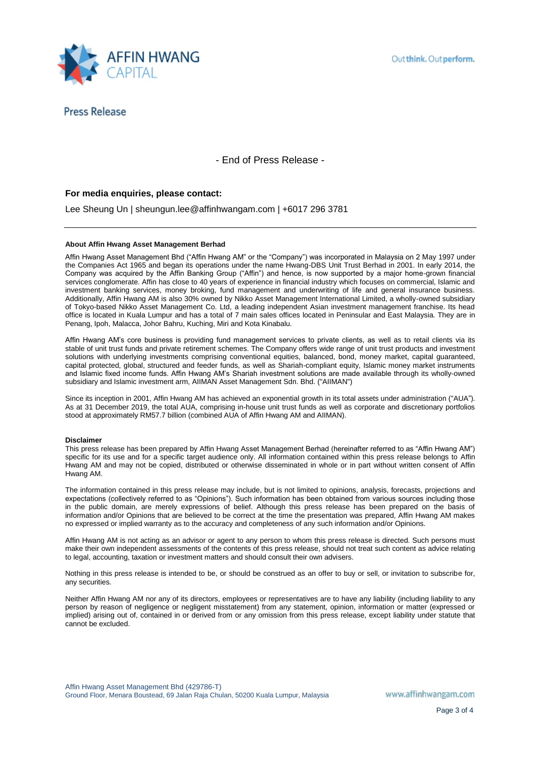

- End of Press Release -

### **For media enquiries, please contact:**

Lee Sheung Un | sheungun.lee@affinhwangam.com | +6017 296 3781

#### **About Affin Hwang Asset Management Berhad**

Affin Hwang Asset Management Bhd ("Affin Hwang AM" or the "Company") was incorporated in Malaysia on 2 May 1997 under the Companies Act 1965 and began its operations under the name Hwang-DBS Unit Trust Berhad in 2001. In early 2014, the Company was acquired by the Affin Banking Group ("Affin") and hence, is now supported by a major home-grown financial services conglomerate. Affin has close to 40 years of experience in financial industry which focuses on commercial, Islamic and investment banking services, money broking, fund management and underwriting of life and general insurance business. Additionally, Affin Hwang AM is also 30% owned by Nikko Asset Management International Limited, a wholly-owned subsidiary of Tokyo-based Nikko Asset Management Co. Ltd, a leading independent Asian investment management franchise. Its head office is located in Kuala Lumpur and has a total of 7 main sales offices located in Peninsular and East Malaysia. They are in Penang, Ipoh, Malacca, Johor Bahru, Kuching, Miri and Kota Kinabalu.

Affin Hwang AM's core business is providing fund management services to private clients, as well as to retail clients via its stable of unit trust funds and private retirement schemes. The Company offers wide range of unit trust products and investment solutions with underlying investments comprising conventional equities, balanced, bond, money market, capital guaranteed, capital protected, global, structured and feeder funds, as well as Shariah-compliant equity, Islamic money market instruments and Islamic fixed income funds. Affin Hwang AM's Shariah investment solutions are made available through its wholly-owned subsidiary and Islamic investment arm, AIIMAN Asset Management Sdn. Bhd. ("AIIMAN")

Since its inception in 2001, Affin Hwang AM has achieved an exponential growth in its total assets under administration ("AUA"). As at 31 December 2019, the total AUA, comprising in-house unit trust funds as well as corporate and discretionary portfolios stood at approximately RM57.7 billion (combined AUA of Affin Hwang AM and AIIMAN).

#### **Disclaimer**

This press release has been prepared by Affin Hwang Asset Management Berhad (hereinafter referred to as "Affin Hwang AM") specific for its use and for a specific target audience only. All information contained within this press release belongs to Affin Hwang AM and may not be copied, distributed or otherwise disseminated in whole or in part without written consent of Affin Hwang AM.

The information contained in this press release may include, but is not limited to opinions, analysis, forecasts, projections and expectations (collectively referred to as "Opinions"). Such information has been obtained from various sources including those in the public domain, are merely expressions of belief. Although this press release has been prepared on the basis of information and/or Opinions that are believed to be correct at the time the presentation was prepared, Affin Hwang AM makes no expressed or implied warranty as to the accuracy and completeness of any such information and/or Opinions.

Affin Hwang AM is not acting as an advisor or agent to any person to whom this press release is directed. Such persons must make their own independent assessments of the contents of this press release, should not treat such content as advice relating to legal, accounting, taxation or investment matters and should consult their own advisers.

Nothing in this press release is intended to be, or should be construed as an offer to buy or sell, or invitation to subscribe for, any securities.

Neither Affin Hwang AM nor any of its directors, employees or representatives are to have any liability (including liability to any person by reason of negligence or negligent misstatement) from any statement, opinion, information or matter (expressed or implied) arising out of, contained in or derived from or any omission from this press release, except liability under statute that cannot be excluded.